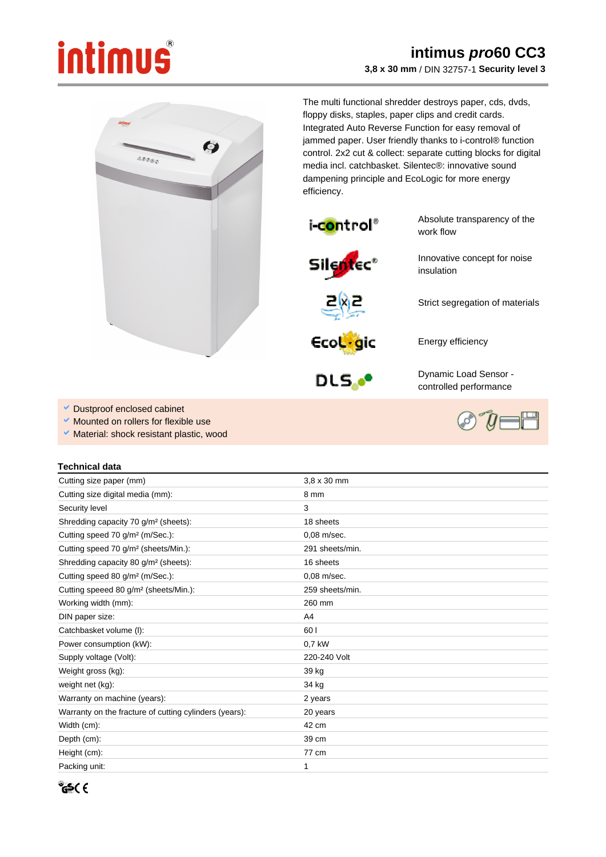## intimus

## **intimus pro60 CC3 3,8 x 30 mm** / DIN 32757-1 **Security level 3**



The multi functional shredder destroys paper, cds, dvds, floppy disks, staples, paper clips and credit cards. Integrated Auto Reverse Function for easy removal of jammed paper. User friendly thanks to i-control® function control. 2x2 cut & collect: separate cutting blocks for digital media incl. catchbasket. Silentec®: innovative sound dampening principle and EcoLogic for more energy efficiency.



Absolute transparency of the work flow

Innovative concept for noise insulation







Dynamic Load Sensor controlled performance

Energy efficiency

- Dustproof enclosed cabinet
- Mounted on rollers for flexible use
- Ŷ, Material: shock resistant plastic, wood

## **Technical data**

| Cutting size paper (mm)                                | $3.8 \times 30$ mm |
|--------------------------------------------------------|--------------------|
| Cutting size digital media (mm):                       | 8 mm               |
| Security level                                         | 3                  |
| Shredding capacity 70 g/m <sup>2</sup> (sheets):       | 18 sheets          |
| Cutting speed 70 g/m <sup>2</sup> (m/Sec.):            | 0,08 m/sec.        |
| Cutting speed 70 g/m <sup>2</sup> (sheets/Min.):       | 291 sheets/min.    |
| Shredding capacity 80 g/m <sup>2</sup> (sheets):       | 16 sheets          |
| Cutting speed 80 g/m <sup>2</sup> (m/Sec.):            | $0.08$ m/sec.      |
| Cutting speeed 80 g/m <sup>2</sup> (sheets/Min.):      | 259 sheets/min.    |
| Working width (mm):                                    | 260 mm             |
| DIN paper size:                                        | A4                 |
| Catchbasket volume (I):                                | 60 l               |
| Power consumption (kW):                                | 0.7 kW             |
| Supply voltage (Volt):                                 | 220-240 Volt       |
| Weight gross (kg):                                     | 39 kg              |
| weight net (kg):                                       | 34 kg              |
| Warranty on machine (years):                           | 2 years            |
| Warranty on the fracture of cutting cylinders (years): | 20 years           |
| Width (cm):                                            | 42 cm              |
| Depth (cm):                                            | 39 cm              |
| Height (cm):                                           | 77 cm              |
| Packing unit:                                          | 1                  |